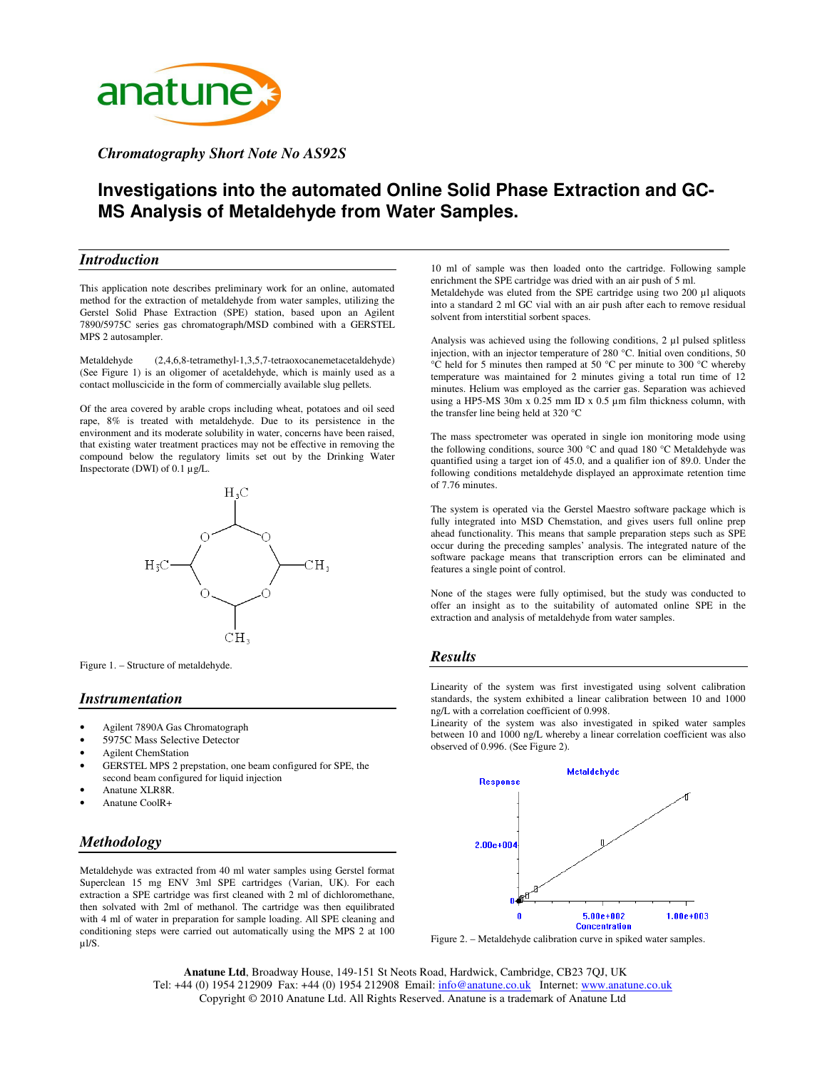

*Chromatography Short Note No AS92S*

# **Investigations into the automated Online Solid Phase Extraction and GC-MS Analysis of Metaldehyde from Water Samples.**

#### *Introduction*

This application note describes preliminary work for an online, automated method for the extraction of metaldehyde from water samples, utilizing the Gerstel Solid Phase Extraction (SPE) station, based upon an Agilent 7890/5975C series gas chromatograph/MSD combined with a GERSTEL MPS 2 autosampler.

Metaldehyde (2,4,6,8-tetramethyl-1,3,5,7-tetraoxocanemetacetaldehyde) (See Figure 1) is an oligomer of acetaldehyde, which is mainly used as a contact molluscicide in the form of commercially available slug pellets.

Of the area covered by arable crops including wheat, potatoes and oil seed rape, 8% is treated with metaldehyde. Due to its persistence in the environment and its moderate solubility in water, concerns have been raised, that existing water treatment practices may not be effective in removing the compound below the regulatory limits set out by the Drinking Water Inspectorate (DWI) of 0.1 µg/L.



Figure 1. – Structure of metaldehyde.

#### *Instrumentation*

- Agilent 7890A Gas Chromatograph
- 5975C Mass Selective Detector
- Agilent ChemStation
- GERSTEL MPS 2 prepstation, one beam configured for SPE, the second beam configured for liquid injection
- Anatune XLR8R.
- Anatune CoolR+

# *Methodology*

Metaldehyde was extracted from 40 ml water samples using Gerstel format Superclean 15 mg ENV 3ml SPE cartridges (Varian, UK). For each extraction a SPE cartridge was first cleaned with 2 ml of dichloromethane, then solvated with 2ml of methanol. The cartridge was then equilibrated with 4 ml of water in preparation for sample loading. All SPE cleaning and conditioning steps were carried out automatically using the MPS 2 at 100 µl/S.

10 ml of sample was then loaded onto the cartridge. Following sample enrichment the SPE cartridge was dried with an air push of 5 ml. Metaldehyde was eluted from the SPE cartridge using two 200 µl aliquots into a standard 2 ml GC vial with an air push after each to remove residual solvent from interstitial sorbent spaces.

Analysis was achieved using the following conditions, 2 µl pulsed splitless injection, with an injector temperature of 280 °C. Initial oven conditions, 50 °C held for 5 minutes then ramped at 50 °C per minute to 300 °C whereby temperature was maintained for 2 minutes giving a total run time of 12 minutes. Helium was employed as the carrier gas. Separation was achieved using a HP5-MS 30m x 0.25 mm ID x 0.5 µm film thickness column, with the transfer line being held at 320 °C

The mass spectrometer was operated in single ion monitoring mode using the following conditions, source 300 °C and quad 180 °C Metaldehyde was quantified using a target ion of 45.0, and a qualifier ion of 89.0. Under the following conditions metaldehyde displayed an approximate retention time of 7.76 minutes.

The system is operated via the Gerstel Maestro software package which is fully integrated into MSD Chemstation, and gives users full online prep ahead functionality. This means that sample preparation steps such as SPE occur during the preceding samples' analysis. The integrated nature of the software package means that transcription errors can be eliminated and features a single point of control.

None of the stages were fully optimised, but the study was conducted to offer an insight as to the suitability of automated online SPE in the extraction and analysis of metaldehyde from water samples.

### *Results*

Linearity of the system was first investigated using solvent calibration standards, the system exhibited a linear calibration between 10 and 1000 ng/L with a correlation coefficient of 0.998.

Linearity of the system was also investigated in spiked water samples between 10 and 1000 ng/L whereby a linear correlation coefficient was also observed of 0.996. (See Figure 2).



Figure 2. – Metaldehyde calibration curve in spiked water samples.

**Anatune Ltd**, Broadway House, 149-151 St Neots Road, Hardwick, Cambridge, CB23 7QJ, UK Tel: +44 (0) 1954 212909 Fax: +44 (0) 1954 212908 Email: info@anatune.co.uk Internet: www.anatune.co.uk Copyright © 2010 Anatune Ltd. All Rights Reserved. Anatune is a trademark of Anatune Ltd